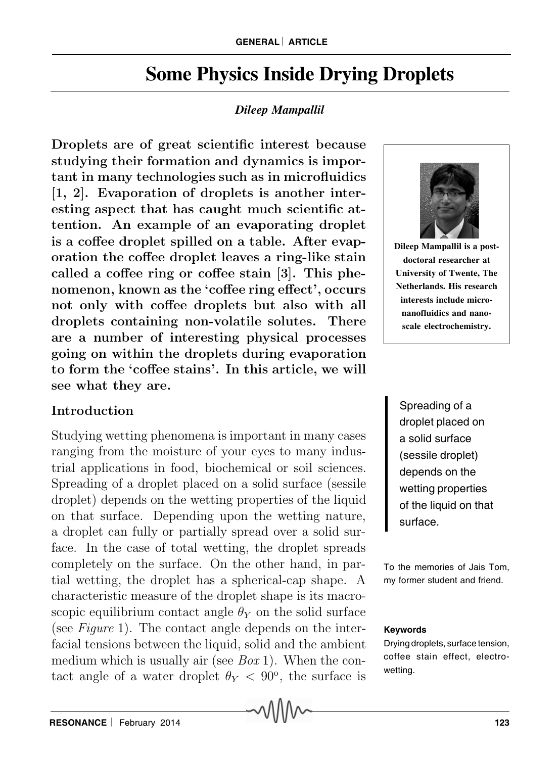# **Some Physics Inside Drying Droplets**

## *Dileep Mampallil*

Droplets are of great scientific interest because studying their formation and dynamics is important in many technologies such as in microfluidics [1, 2]. Evaporation of droplets is another interesting aspect that has caught much scientific attention. An example of an evaporating droplet is a coffee droplet spilled on a table. After evaporation the coffee droplet leaves a ring-like stain called a coffee ring or coffee stain [3]. This phenomenon, known as the 'coffee ring effect', occurs not only with coffee droplets but also with all droplets containing non-volatile solutes. There are a number of interesting physical processes going on within the droplets during evaporation to form the 'coffee stains'. In this article, we will see what they are.

# Introduction

Studying wetting phenomena is important in many cases ranging from the moisture of your eyes to many industrial applications in food, biochemical or soil sciences. Spreading of a droplet placed on a solid surface (sessile droplet) depends on the wetting properties of the liquid on that surface. Depending upon the wetting nature, a droplet can fully or partially spread over a solid surface. In the case of total wetting, the droplet spreads completely on the surface. On the other hand, in partial wetting, the droplet has a spherical-cap shape. A characteristic measure of the droplet shape is its macroscopic equilibrium contact angle  $\theta_Y$  on the solid surface (see Figure 1). The contact angle depends on the interfacial tensions between the liquid, solid and the ambient medium which is usually air (see  $Box 1$ ). When the contact angle of a water droplet  $\theta_Y < 90^\circ$ , the surface is



**Dileep Mampallil is a postdoctoral researcher at University of Twente, The Netherlands. His research interests include micronanofluidics and nanoscale electrochemistry.**

Spreading of a droplet placed on a solid surface (sessile droplet) depends on the wetting properties of the liquid on that surface.

To the memories of Jais Tom, my former student and friend.

#### **Keywords**

Drying droplets, surface tension, coffee stain effect, electrowetting.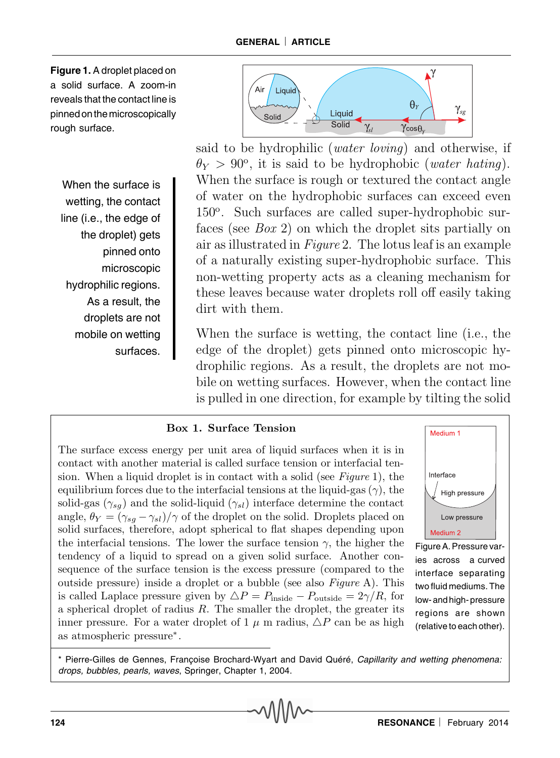**Figure 1.** A droplet placed on a solid surface. A zoom-in reveals that the contact line is pinned on the microscopically rough surface.

When the surface is wetting, the contact line (i.e., the edge of the droplet) gets pinned onto microscopic hydrophilic regions. As a result, the droplets are not mobile on wetting surfaces.



said to be hydrophilic (water loving) and otherwise, if  $\theta_Y > 90^\circ$ , it is said to be hydrophobic (water hating). When the surface is rough or textured the contact angle of water on the hydrophobic surfaces can exceed even 150°. Such surfaces are called super-hydrophobic surfaces (see Box 2) on which the droplet sits partially on air as illustrated in Figure 2. The lotus leaf is an example of a naturally existing super-hydrophobic surface. This non-wetting property acts as a cleaning mechanism for these leaves because water droplets roll off easily taking dirt with them.

When the surface is wetting, the contact line (i.e., the edge of the droplet) gets pinned onto microscopic hydrophilic regions. As a result, the droplets are not mobile on wetting surfaces. However, when the contact line is pulled in one direction, for example by tilting the solid

#### Box 1. Surface Tension

The surface excess energy per unit area of liquid surfaces when it is in contact with another material is called surface tension or interfacial tension. When a liquid droplet is in contact with a solid (see Figure 1), the equilibrium forces due to the interfacial tensions at the liquid-gas  $(\gamma)$ , the solid-gas  $(\gamma_{sg})$  and the solid-liquid  $(\gamma_{sl})$  interface determine the contact angle,  $\theta_Y = (\gamma_{sg} - \gamma_{sl})/\gamma$  of the droplet on the solid. Droplets placed on solid surfaces, therefore, adopt spherical to flat shapes depending upon the interfacial tensions. The lower the surface tension  $\gamma$ , the higher the tendency of a liquid to spread on a given solid surface. Another consequence of the surface tension is the excess pressure (compared to the outside pressure) inside a droplet or a bubble (see also Figure A). This is called Laplace pressure given by  $\Delta P = P_{\text{inside}} - P_{\text{outside}} = 2\gamma/R$ , for a spherical droplet of radius  $R$ . The smaller the droplet, the greater its inner pressure. For a water droplet of 1  $\mu$  m radius,  $\Delta P$  can be as high as atmospheric pressure<sup>∗</sup> .



Figure A. Pressure varies across a curved interface separating two fluid mediums. The low- and high- pressure regions are shown (relative to each other).

\* Pierre-Gilles de Gennes, Françoise Brochard-Wyart and David Quéré, Capillarity and wetting phenomena: drops, bubbles, pearls, waves, Springer, Chapter 1, 2004.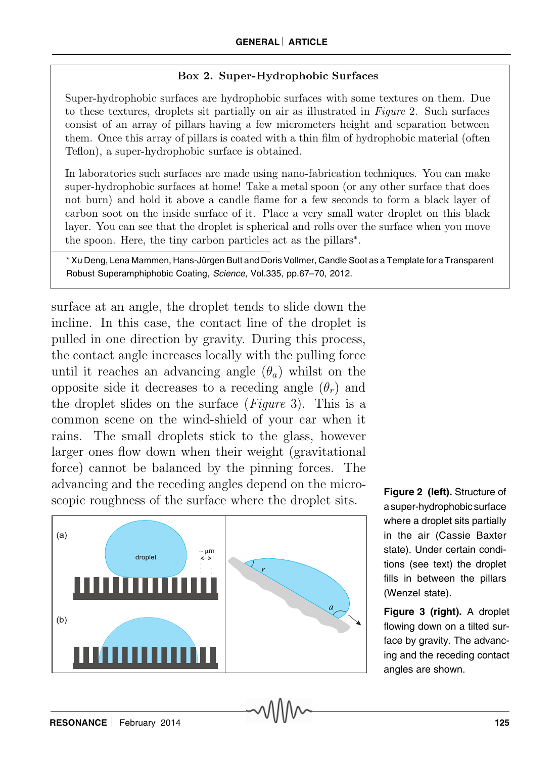#### Box 2. Super-Hydrophobic Surfaces

Super-hydrophobic surfaces are hydrophobic surfaces with some textures on them. Due to these textures, droplets sit partially on air as illustrated in  $Figure 2$ . Such surfaces consist of an array of pillars having a few micrometers height and separation between them. Once this array of pillars is coated with a thin film of hydrophobic material (often Teflon), a super-hydrophobic surface is obtained.

In laboratories such surfaces are made using nano-fabrication techniques. You can make super-hydrophobic surfaces at home! Take a metal spoon (or any other surface that does not burn) and hold it above a candle flame for a few seconds to form a black layer of carbon soot on the inside surface of it. Place a very small water droplet on this black layer. You can see that the droplet is spherical and rolls over the surface when you move the spoon. Here, the tiny carbon particles act as the pillars<sup>\*</sup>.

\* Xu Deng, Lena Mammen, Hans-Jürgen Butt and Doris Vollmer, Candle Soot as a Template for a Transparent Robust Superamphiphobic Coating, Science, Vol.335, pp.67–70, 2012.

surface at an angle, the droplet tends to slide down the incline. In this case, the contact line of the droplet is pulled in one direction by gravity. During this process, the contact angle increases locally with the pulling force until it reaches an advancing angle  $(\theta_a)$  whilst on the opposite side it decreases to a receding angle  $(\theta_r)$  and the droplet slides on the surface (Figure 3). This is a common scene on the wind-shield of your car when it rains. The small droplets stick to the glass, however larger ones flow down when their weight (gravitational force) cannot be balanced by the pinning forces. The advancing and the receding angles depend on the microscopic roughness of the surface where the droplet sits.



**Figure 2 (left).** Structure of a super-hydrophobic surface where a droplet sits partially in the air (Cassie Baxter state). Under certain conditions (see text) the droplet fills in between the pillars (Wenzel state).

**Figure 3 (right).** A droplet flowing down on a tilted surface by gravity. The advancing and the receding contact angles are shown.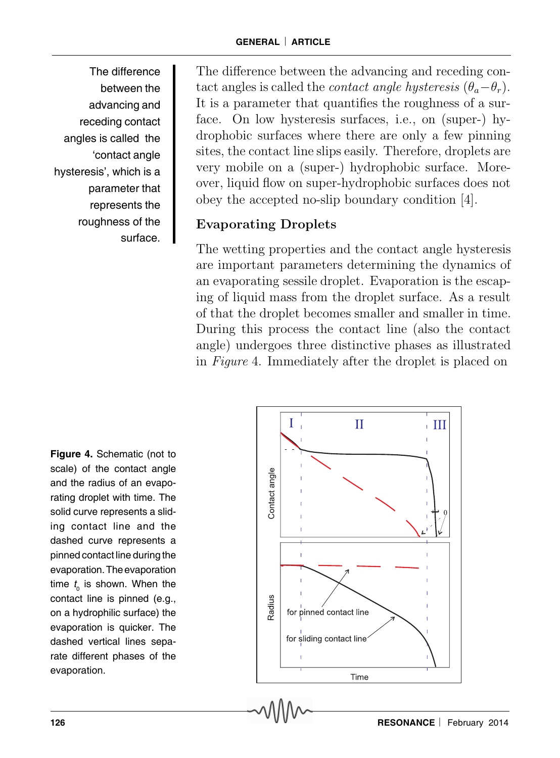The difference between the advancing and receding contact angles is called the 'contact angle hysteresis', which is a parameter that represents the roughness of the surface.

The difference between the advancing and receding contact angles is called the *contact angle hysteresis*  $(\theta_a-\theta_r)$ . It is a parameter that quantifies the roughness of a surface. On low hysteresis surfaces, i.e., on (super-) hydrophobic surfaces where there are only a few pinning sites, the contact line slips easily. Therefore, droplets are very mobile on a (super-) hydrophobic surface. Moreover, liquid flow on super-hydrophobic surfaces does not obey the accepted no-slip boundary condition [4].

## Evaporating Droplets

The wetting properties and the contact angle hysteresis are important parameters determining the dynamics of an evaporating sessile droplet. Evaporation is the escaping of liquid mass from the droplet surface. As a result of that the droplet becomes smaller and smaller in time. During this process the contact line (also the contact angle) undergoes three distinctive phases as illustrated in Figure 4. Immediately after the droplet is placed on

**Figure 4.** Schematic (not to scale) of the contact angle and the radius of an evaporating droplet with time. The solid curve represents a sliding contact line and the dashed curve represents a pinned contact line during the evaporation. The evaporation time  $t_{_{\rm 0}}$  is shown. When the contact line is pinned (e.g., on a hydrophilic surface) the evaporation is quicker. The dashed vertical lines separate different phases of the evaporation.

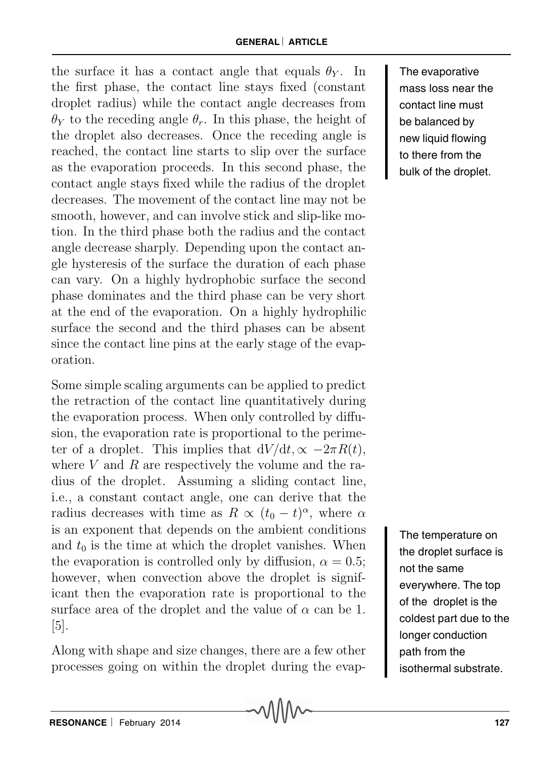the surface it has a contact angle that equals  $\theta_Y$ . In the first phase, the contact line stays fixed (constant droplet radius) while the contact angle decreases from  $\theta_Y$  to the receding angle  $\theta_r$ . In this phase, the height of the droplet also decreases. Once the receding angle is reached, the contact line starts to slip over the surface as the evaporation proceeds. In this second phase, the contact angle stays fixed while the radius of the droplet decreases. The movement of the contact line may not be smooth, however, and can involve stick and slip-like motion. In the third phase both the radius and the contact angle decrease sharply. Depending upon the contact angle hysteresis of the surface the duration of each phase can vary. On a highly hydrophobic surface the second phase dominates and the third phase can be very short at the end of the evaporation. On a highly hydrophilic surface the second and the third phases can be absent since the contact line pins at the early stage of the evaporation.

Some simple scaling arguments can be applied to predict the retraction of the contact line quantitatively during the evaporation process. When only controlled by diffusion, the evaporation rate is proportional to the perimeter of a droplet. This implies that  $dV/dt$ ,  $\propto -2\pi R(t)$ , where  $V$  and  $R$  are respectively the volume and the radius of the droplet. Assuming a sliding contact line, i.e., a constant contact angle, one can derive that the radius decreases with time as  $R \propto (t_0 - t)^{\alpha}$ , where  $\alpha$ is an exponent that depends on the ambient conditions and  $t_0$  is the time at which the droplet vanishes. When the evaporation is controlled only by diffusion,  $\alpha = 0.5$ ; however, when convection above the droplet is significant then the evaporation rate is proportional to the surface area of the droplet and the value of  $\alpha$  can be 1.  $|5|$ .

Along with shape and size changes, there are a few other processes going on within the droplet during the evap-

The evaporative mass loss near the contact line must be balanced by new liquid flowing to there from the bulk of the droplet.

The temperature on the droplet surface is not the same everywhere. The top of the droplet is the coldest part due to the longer conduction path from the isothermal substrate.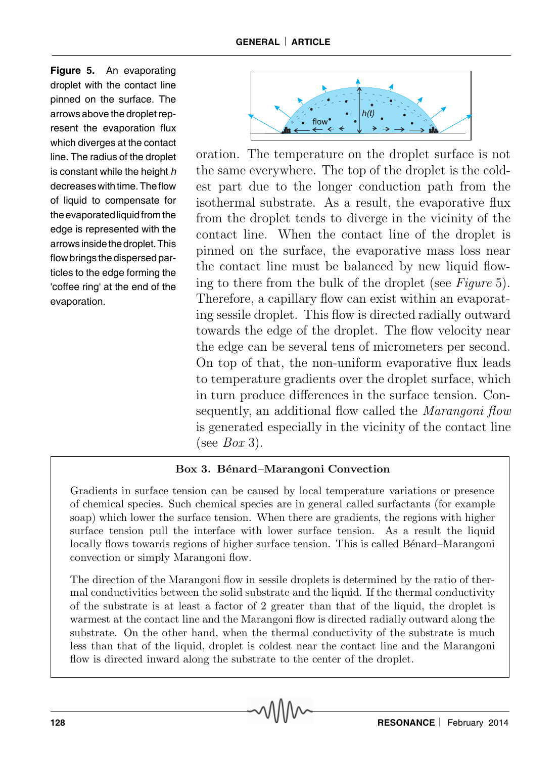**Figure 5.** An evaporating droplet with the contact line pinned on the surface. The arrows above the droplet represent the evaporation flux which diverges at the contact line. The radius of the droplet is constant while the height  $h$ decreases with time. The flow of liquid to compensate for the evaporated liquid from the edge is represented with the arrows inside the droplet. This flow brings the dispersed particles to the edge forming the 'coffee ring' at the end of the evaporation.



oration. The temperature on the droplet surface is not the same everywhere. The top of the droplet is the coldest part due to the longer conduction path from the isothermal substrate. As a result, the evaporative flux from the droplet tends to diverge in the vicinity of the contact line. When the contact line of the droplet is pinned on the surface, the evaporative mass loss near the contact line must be balanced by new liquid flowing to there from the bulk of the droplet (see Figure 5). Therefore, a capillary flow can exist within an evaporating sessile droplet. This flow is directed radially outward towards the edge of the droplet. The flow velocity near the edge can be several tens of micrometers per second. On top of that, the non-uniform evaporative flux leads to temperature gradients over the droplet surface, which in turn produce differences in the surface tension. Consequently, an additional flow called the *Marangoni* flow is generated especially in the vicinity of the contact line (see  $Box\, 3$ ).

#### Box 3. Bénard–Marangoni Convection

Gradients in surface tension can be caused by local temperature variations or presence of chemical species. Such chemical species are in general called surfactants (for example soap) which lower the surface tension. When there are gradients, the regions with higher surface tension pull the interface with lower surface tension. As a result the liquid locally flows towards regions of higher surface tension. This is called Bénard–Marangoni convection or simply Marangoni flow.

The direction of the Marangoni flow in sessile droplets is determined by the ratio of thermal conductivities between the solid substrate and the liquid. If the thermal conductivity of the substrate is at least a factor of 2 greater than that of the liquid, the droplet is warmest at the contact line and the Marangoni flow is directed radially outward along the substrate. On the other hand, when the thermal conductivity of the substrate is much less than that of the liquid, droplet is coldest near the contact line and the Marangoni flow is directed inward along the substrate to the center of the droplet.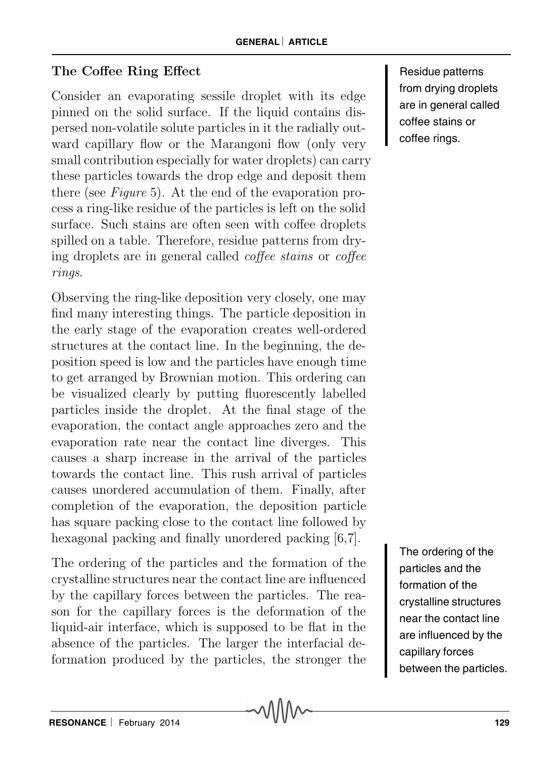# The Coffee Ring Effect

Consider an evaporating sessile droplet with its edge pinned on the solid surface. If the liquid contains dispersed non-volatile solute particles in it the radially outward capillary flow or the Marangoni flow (only very small contribution especially for water droplets) can carry these particles towards the drop edge and deposit them there (see Figure 5). At the end of the evaporation process a ring-like residue of the particles is left on the solid surface. Such stains are often seen with coffee droplets spilled on a table. Therefore, residue patterns from drying droplets are in general called coffee stains or coffee rings.

Observing the ring-like deposition very closely, one may find many interesting things. The particle deposition in the early stage of the evaporation creates well-ordered structures at the contact line. In the beginning, the deposition speed is low and the particles have enough time to get arranged by Brownian motion. This ordering can be visualized clearly by putting fluorescently labelled particles inside the droplet. At the final stage of the evaporation, the contact angle approaches zero and the evaporation rate near the contact line diverges. This causes a sharp increase in the arrival of the particles towards the contact line. This rush arrival of particles causes unordered accumulation of them. Finally, after completion of the evaporation, the deposition particle has square packing close to the contact line followed by hexagonal packing and finally unordered packing [6,7].

The ordering of the particles and the formation of the crystalline structures near the contact line are influenced by the capillary forces between the particles. The reason for the capillary forces is the deformation of the liquid-air interface, which is supposed to be flat in the absence of the particles. The larger the interfacial deformation produced by the particles, the stronger the

Residue patterns from drying droplets are in general called coffee stains or coffee rings.

The ordering of the particles and the formation of the crystalline structures near the contact line are influenced by the capillary forces between the particles.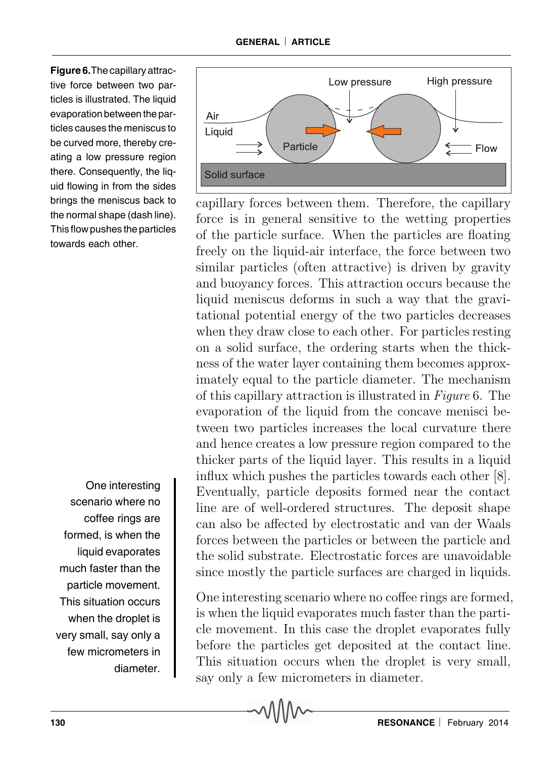**Figure 6.**The capillary attractive force between two particles is illustrated. The liquid evaporation between the particles causes the meniscus to be curved more, thereby creating a low pressure region there. Consequently, the liquid flowing in from the sides brings the meniscus back to the normal shape (dash line). This flow pushes the particles towards each other.

One interesting scenario where no coffee rings are formed, is when the liquid evaporates much faster than the particle movement. This situation occurs when the droplet is very small, say only a few micrometers in diameter.



capillary forces between them. Therefore, the capillary force is in general sensitive to the wetting properties of the particle surface. When the particles are floating freely on the liquid-air interface, the force between two similar particles (often attractive) is driven by gravity and buoyancy forces. This attraction occurs because the liquid meniscus deforms in such a way that the gravitational potential energy of the two particles decreases when they draw close to each other. For particles resting on a solid surface, the ordering starts when the thickness of the water layer containing them becomes approximately equal to the particle diameter. The mechanism of this capillary attraction is illustrated in Figure 6. The evaporation of the liquid from the concave menisci between two particles increases the local curvature there and hence creates a low pressure region compared to the thicker parts of the liquid layer. This results in a liquid influx which pushes the particles towards each other [8]. Eventually, particle deposits formed near the contact line are of well-ordered structures. The deposit shape can also be affected by electrostatic and van der Waals forces between the particles or between the particle and the solid substrate. Electrostatic forces are unavoidable since mostly the particle surfaces are charged in liquids.

One interesting scenario where no coffee rings are formed, is when the liquid evaporates much faster than the particle movement. In this case the droplet evaporates fully before the particles get deposited at the contact line. This situation occurs when the droplet is very small, say only a few micrometers in diameter.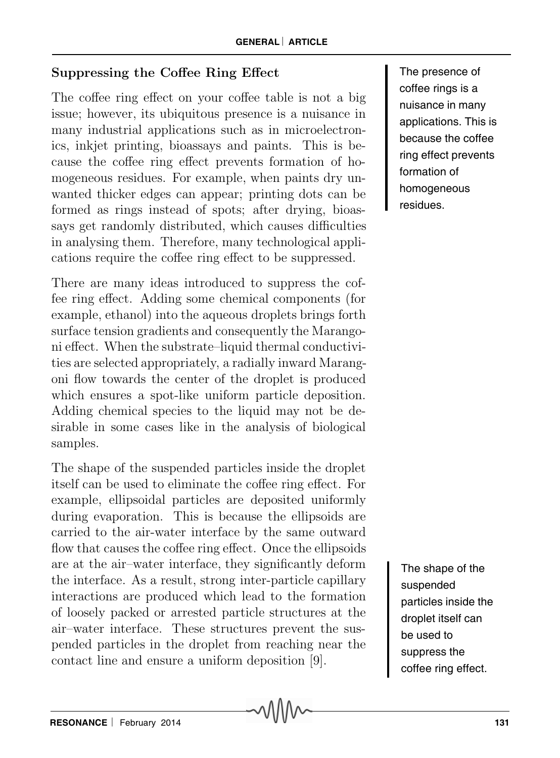## Suppressing the Coffee Ring Effect

The coffee ring effect on your coffee table is not a big issue; however, its ubiquitous presence is a nuisance in many industrial applications such as in microelectronics, inkjet printing, bioassays and paints. This is because the coffee ring effect prevents formation of homogeneous residues. For example, when paints dry unwanted thicker edges can appear; printing dots can be formed as rings instead of spots; after drying, bioassays get randomly distributed, which causes difficulties in analysing them. Therefore, many technological applications require the coffee ring effect to be suppressed.

There are many ideas introduced to suppress the coffee ring effect. Adding some chemical components (for example, ethanol) into the aqueous droplets brings forth surface tension gradients and consequently the Marangoni effect. When the substrate–liquid thermal conductivities are selected appropriately, a radially inward Marangoni flow towards the center of the droplet is produced which ensures a spot-like uniform particle deposition. Adding chemical species to the liquid may not be desirable in some cases like in the analysis of biological samples.

The shape of the suspended particles inside the droplet itself can be used to eliminate the coffee ring effect. For example, ellipsoidal particles are deposited uniformly during evaporation. This is because the ellipsoids are carried to the air-water interface by the same outward flow that causes the coffee ring effect. Once the ellipsoids are at the air–water interface, they significantly deform the interface. As a result, strong inter-particle capillary interactions are produced which lead to the formation of loosely packed or arrested particle structures at the air–water interface. These structures prevent the suspended particles in the droplet from reaching near the contact line and ensure a uniform deposition [9].

The presence of coffee rings is a nuisance in many applications. This is because the coffee ring effect prevents formation of homogeneous residues.

The shape of the suspended particles inside the droplet itself can be used to suppress the coffee ring effect.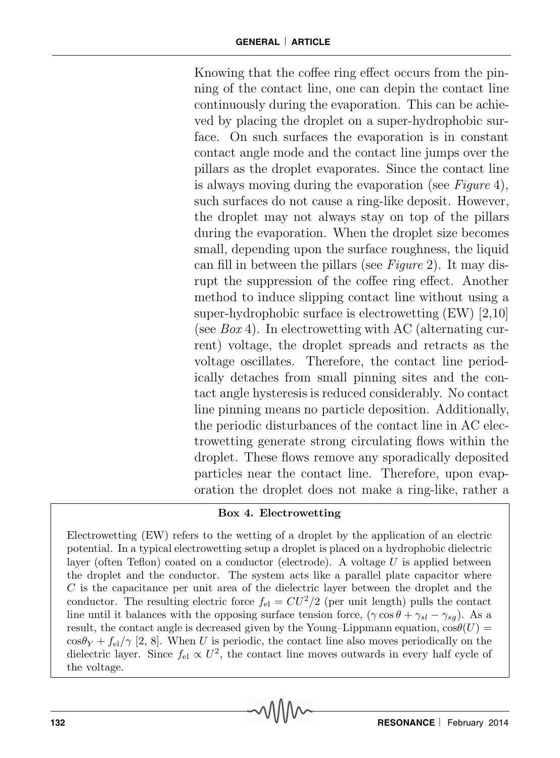Knowing that the coffee ring effect occurs from the pinning of the contact line, one can depin the contact line continuously during the evaporation. This can be achieved by placing the droplet on a super-hydrophobic surface. On such surfaces the evaporation is in constant contact angle mode and the contact line jumps over the pillars as the droplet evaporates. Since the contact line is always moving during the evaporation (see Figure 4), such surfaces do not cause a ring-like deposit. However, the droplet may not always stay on top of the pillars during the evaporation. When the droplet size becomes small, depending upon the surface roughness, the liquid can fill in between the pillars (see Figure 2). It may disrupt the suppression of the coffee ring effect. Another method to induce slipping contact line without using a super-hydrophobic surface is electrowetting (EW) [2,10] (see  $Box 4$ ). In electrowetting with AC (alternating current) voltage, the droplet spreads and retracts as the voltage oscillates. Therefore, the contact line periodically detaches from small pinning sites and the contact angle hysteresis is reduced considerably. No contact line pinning means no particle deposition. Additionally, the periodic disturbances of the contact line in AC electrowetting generate strong circulating flows within the droplet. These flows remove any sporadically deposited particles near the contact line. Therefore, upon evaporation the droplet does not make a ring-like, rather a

### Box 4. Electrowetting

Electrowetting (EW) refers to the wetting of a droplet by the application of an electric potential. In a typical electrowetting setup a droplet is placed on a hydrophobic dielectric layer (often Teflon) coated on a conductor (electrode). A voltage  $U$  is applied between the droplet and the conductor. The system acts like a parallel plate capacitor where  $C$  is the capacitance per unit area of the dielectric layer between the droplet and the conductor. The resulting electric force  $f_{el} = CU^2/2$  (per unit length) pulls the contact line until it balances with the opposing surface tension force,  $(\gamma \cos \theta + \gamma_{sl} - \gamma_{sg})$ . As a result, the contact angle is decreased given by the Young–Lippmann equation,  $\cos\theta(U)$  =  $\cos\theta_Y + f_{el}/\gamma$  [2, 8]. When U is periodic, the contact line also moves periodically on the dielectric layer. Since  $f_{\text{el}} \propto U^2$ , the contact line moves outwards in every half cycle of the voltage.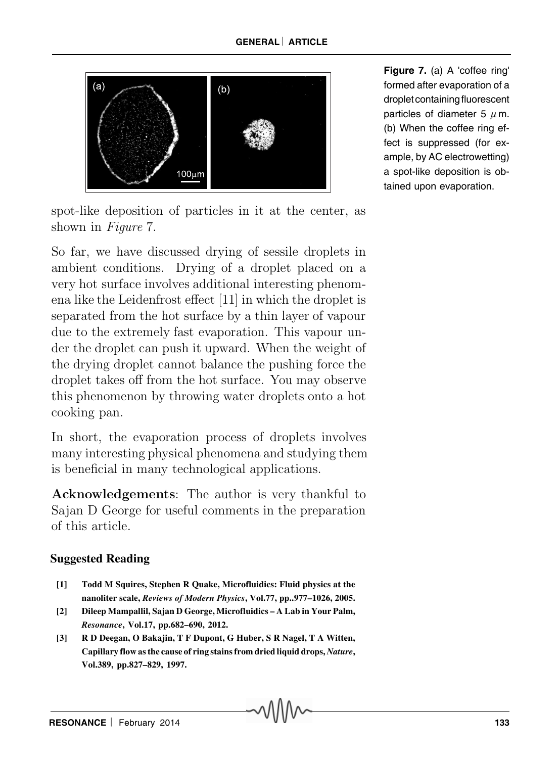

**Figure 7.** (a) A 'coffee ring' formed after evaporation of a droplet containing fluorescent particles of diameter 5  $\mu$  m. (b) When the coffee ring effect is suppressed (for example, by AC electrowetting) a spot-like deposition is obtained upon evaporation.

spot-like deposition of particles in it at the center, as shown in *Figure* 7.

So far, we have discussed drying of sessile droplets in ambient conditions. Drying of a droplet placed on a very hot surface involves additional interesting phenomena like the Leidenfrost effect [11] in which the droplet is separated from the hot surface by a thin layer of vapour due to the extremely fast evaporation. This vapour under the droplet can push it upward. When the weight of the drying droplet cannot balance the pushing force the droplet takes off from the hot surface. You may observe this phenomenon by throwing water droplets onto a hot cooking pan.

In short, the evaporation process of droplets involves many interesting physical phenomena and studying them is beneficial in many technological applications.

Acknowledgements: The author is very thankful to Sajan D George for useful comments in the preparation of this article.

#### **Suggested Reading**

- **[1] Todd M Squires, Stephen R Quake, Microfluidics: Fluid physics at the nanoliter scale,** *Reviews of Modern Physics***, Vol.77, pp..977–1026, 2005.**
- **[2] Dileep Mampallil, Sajan D George, Microfluidics A Lab in Your Palm,** *Resonance***, Vol.17, pp.682–690, 2012.**
- **[3] R D Deegan, O Bakajin, T F Dupont, G Huber, S R Nagel, T A Witten, Capillary flow as the cause of ring stains from dried liquid drops,** *Nature***, Vol.389, pp.827–829, 1997.**